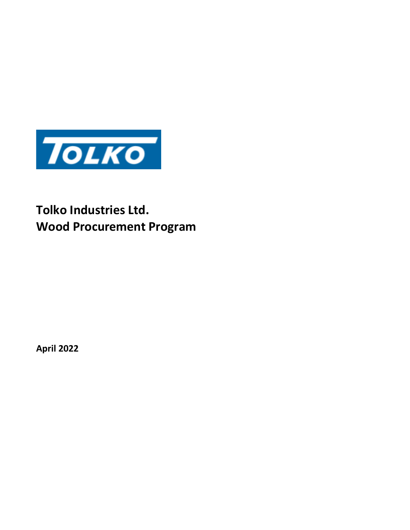

# **Tolko Industries Ltd. Wood Procurement Program**

**April 2022**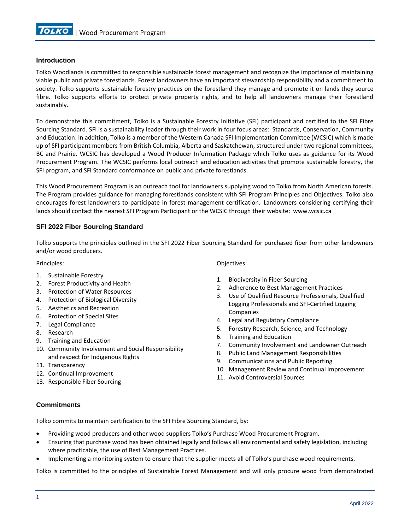

## **Introduction**

Tolko Woodlands is committed to responsible sustainable forest management and recognize the importance of maintaining viable public and private forestlands. Forest landowners have an important stewardship responsibility and a commitment to society. Tolko supports sustainable forestry practices on the forestland they manage and promote it on lands they source fibre. Tolko supports efforts to protect private property rights, and to help all landowners manage their forestland sustainably.

To demonstrate this commitment, Tolko is a Sustainable Forestry Initiative (SFI) participant and certified to the SFI Fibre Sourcing Standard. SFI is a sustainability leader through their work in four focus areas: Standards, Conservation, Community and Education. In addition, Tolko is a member of the Western Canada SFI Implementation Committee (WCSIC) which is made up of SFI participant members from British Columbia, Alberta and Saskatchewan, structured under two regional committees, BC and Prairie. WCSIC has developed a Wood Producer Information Package which Tolko uses as guidance for its Wood Procurement Program. The WCSIC performs local outreach and education activities that promote sustainable forestry, the SFI program, and SFI Standard conformance on public and private forestlands.

This Wood Procurement Program is an outreach tool for landowners supplying wood to Tolko from North American forests. The Program provides guidance for managing forestlands consistent with SFI Program Principles and Objectives. Tolko also encourages forest landowners to participate in forest management certification. Landowners considering certifying their lands should contact the nearest SFI Program Participant or the WCSIC through their website: www.wcsic.ca

## **SFI 2022 Fiber Sourcing Standard**

Tolko supports the principles outlined in the SFI 2022 Fiber Sourcing Standard for purchased fiber from other landowners and/or wood producers.

Principles:

- 1. Sustainable Forestry
- 2. Forest Productivity and Health
- 3. Protection of Water Resources
- 4. Protection of Biological Diversity
- 5. Aesthetics and Recreation
- 6. Protection of Special Sites
- 7. Legal Compliance
- 8. Research
- 9. Training and Education
- 10. Community Involvement and Social Responsibility and respect for Indigenous Rights
- 11. Transparency
- 12. Continual Improvement
- 13. Responsible Fiber Sourcing

Objectives:

- 1. Biodiversity in Fiber Sourcing
- 2. Adherence to Best Management Practices
- 3. Use of Qualified Resource Professionals, Qualified Logging Professionals and SFI-Certified Logging Companies
- 4. Legal and Regulatory Compliance
- 5. Forestry Research, Science, and Technology
- 6. Training and Education
- 7. Community Involvement and Landowner Outreach
- 8. Public Land Management Responsibilities
- 9. Communications and Public Reporting
- 10. Management Review and Continual Improvement
- 11. Avoid Controversial Sources

## **Commitments**

Tolko commits to maintain certification to the SFI Fibre Sourcing Standard, by:

- Providing wood producers and other wood suppliers Tolko's Purchase Wood Procurement Program.
- Ensuring that purchase wood has been obtained legally and follows all environmental and safety legislation, including where practicable, the use of Best Management Practices.
- Implementing a monitoring system to ensure that the supplier meets all of Tolko's purchase wood requirements.

Tolko is committed to the principles of Sustainable Forest Management and will only procure wood from demonstrated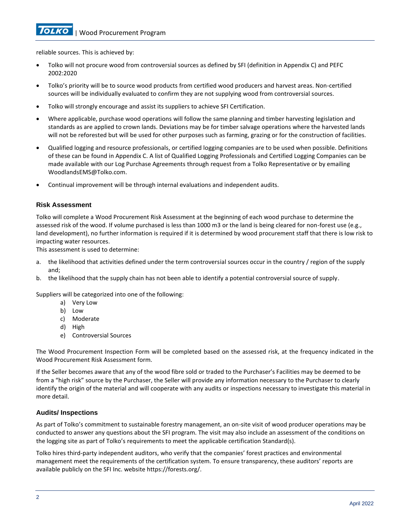**TOLKO** 

reliable sources. This is achieved by:

- Tolko will not procure wood from controversial sources as defined by SFI (definition in Appendix C) and PEFC 2002:2020
- Tolko's priority will be to source wood products from certified wood producers and harvest areas. Non-certified sources will be individually evaluated to confirm they are not supplying wood from controversial sources.
- Tolko will strongly encourage and assist its suppliers to achieve SFI Certification.
- Where applicable, purchase wood operations will follow the same planning and timber harvesting legislation and standards as are applied to crown lands. Deviations may be for timber salvage operations where the harvested lands will not be reforested but will be used for other purposes such as farming, grazing or for the construction of facilities.
- Qualified logging and resource professionals, or certified logging companies are to be used when possible. Definitions of these can be found in Appendix C. A list of Qualified Logging Professionals and Certified Logging Companies can be made available with our Log Purchase Agreements through request from a Tolko Representative or by emailing [WoodlandsEMS@Tolko.com.](mailto:WoodlandsEMS@Tolko.com)
- Continual improvement will be through internal evaluations and independent audits.

## **Risk Assessment**

Tolko will complete a Wood Procurement Risk Assessment at the beginning of each wood purchase to determine the assessed risk of the wood. If volume purchased is less than 1000 m3 or the land is being cleared for non-forest use (e.g., land development), no further information is required if it is determined by wood procurement staff that there is low risk to impacting water resources.

This assessment is used to determine:

- a. the likelihood that activities defined under the term controversial sources occur in the country / region of the supply and;
- b. the likelihood that the supply chain has not been able to identify a potential controversial source of supply.

Suppliers will be categorized into one of the following:

- a) Very Low
- b) Low
- c) Moderate
- d) High
- e) Controversial Sources

The Wood Procurement Inspection Form will be completed based on the assessed risk, at the frequency indicated in the Wood Procurement Risk Assessment form.

If the Seller becomes aware that any of the wood fibre sold or traded to the Purchaser's Facilities may be deemed to be from a "high risk" source by the Purchaser, the Seller will provide any information necessary to the Purchaser to clearly identify the origin of the material and will cooperate with any audits or inspections necessary to investigate this material in more detail.

## **Audits/ Inspections**

As part of Tolko's commitment to sustainable forestry management, an on-site visit of wood producer operations may be conducted to answer any questions about the SFI program. The visit may also include an assessment of the conditions on the logging site as part of Tolko's requirements to meet the applicable certification Standard(s).

Tolko hires third-party independent auditors, who verify that the companies' forest practices and environmental management meet the requirements of the certification system. To ensure transparency, these auditors' reports are available publicly on the SFI Inc. website https://forests.org/.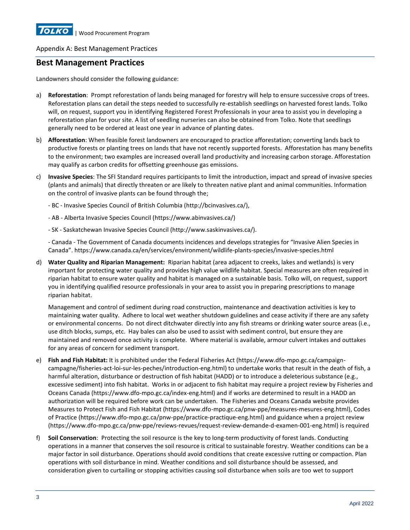## **Best Management Practices**

Landowners should consider the following guidance:

- a) **Reforestation**: Prompt reforestation of lands being managed for forestry will help to ensure successive crops of trees. Reforestation plans can detail the steps needed to successfully re-establish seedlings on harvested forest lands. Tolko will, on request, support you in identifying Registered Forest Professionals in your area to assist you in developing a reforestation plan for your site. A list of seedling nurseries can also be obtained from Tolko. Note that seedlings generally need to be ordered at least one year in advance of planting dates.
- b) **Afforestation**: When feasible forest landowners are encouraged to practice afforestation; converting lands back to productive forests or planting trees on lands that have not recently supported forests. Afforestation has many benefits to the environment; two examples are increased overall land productivity and increasing carbon storage. Afforestation may qualify as carbon credits for offsetting greenhouse gas emissions.
- c) **Invasive Species**: The SFI Standard requires participants to limit the introduction, impact and spread of invasive species (plants and animals) that directly threaten or are likely to threaten native plant and animal communities. Information on the control of invasive plants can be found through the;

- BC - Invasive Species Council of British Columbia [\(http://bcinvasives.ca/\)](http://bcinvasives.ca/),

- AB Alberta Invasive Species Council [\(https://www.abinvasives.ca/\)](https://www.abinvasives.ca/)
- SK Saskatchewan Invasive Species Council (http://www.saskinvasives.ca/).

- Canada - The Government of Canada documents incidences and develops strategies for "Invasive Alien Species in Canada". <https://www.canada.ca/en/services/environment/wildlife-plants-species/invasive-species.html>

d) **Water Quality and Riparian Management:** Riparian habitat (area adjacent to creeks, lakes and wetlands) is very important for protecting water quality and provides high value wildlife habitat. Special measures are often required in riparian habitat to ensure water quality and habitat is managed on a sustainable basis. Tolko will, on request, support you in identifying qualified resource professionals in your area to assist you in preparing prescriptions to manage riparian habitat.

Management and control of sediment during road construction, maintenance and deactivation activities is key to maintaining water quality. Adhere to local wet weather shutdown guidelines and cease activity if there are any safety or environmental concerns. Do not direct ditchwater directly into any fish streams or drinking water source areas (i.e., use ditch blocks, sumps, etc. Hay bales can also be used to assist with sediment control, but ensure they are maintained and removed once activity is complete. Where material is available, armour culvert intakes and outtakes for any areas of concern for sediment transport.

- e) **Fish and Fish Habitat:** It is prohibited under the Federal Fisheries Act (https://www.dfo-mpo.gc.ca/campaigncampagne/fisheries-act-loi-sur-les-peches/introduction-eng.html) to undertake works that result in the death of fish, a harmful alteration, disturbance or destruction of fish habitat (HADD) or to introduce a deleterious substance (e.g., excessive sediment) into fish habitat. Works in or adjacent to fish habitat may require a project review by Fisheries and Oceans Canada (https://www.dfo-mpo.gc.ca/index-eng.html) and if works are determined to result in a HADD an authorization will be required before work can be undertaken. The Fisheries and Oceans Canada website provides Measures to Protect Fish and Fish Habitat (https://www.dfo-mpo.gc.ca/pnw-ppe/measures-mesures-eng.html), Codes of Practice (https://www.dfo-mpo.gc.ca/pnw-ppe/practice-practique-eng.html) and guidance when a project review (https://www.dfo-mpo.gc.ca/pnw-ppe/reviews-revues/request-review-demande-d-examen-001-eng.html) is required
- f) **Soil Conservation**: Protecting the soil resource is the key to long-term productivity of forest lands. Conducting operations in a manner that conserves the soil resource is critical to sustainable forestry. Weather conditions can be a major factor in soil disturbance. Operations should avoid conditions that create excessive rutting or compaction. Plan operations with soil disturbance in mind. Weather conditions and soil disturbance should be assessed, and consideration given to curtailing or stopping activities causing soil disturbance when soils are too wet to support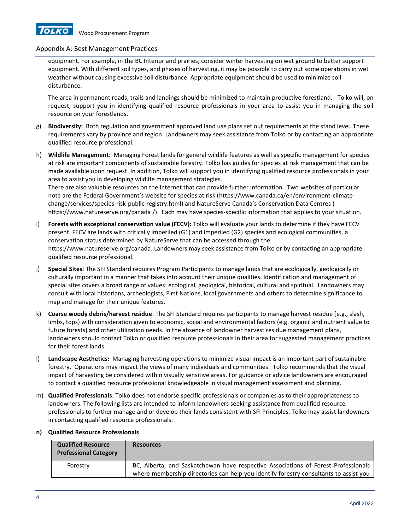

equipment. For example, in the BC Interior and prairies, consider winter harvesting on wet ground to better support equipment. With different soil types, and phases of harvesting, it may be possible to carry out some operations in wet weather without causing excessive soil disturbance. Appropriate equipment should be used to minimize soil disturbance.

The area in permanent roads, trails and landings should be minimized to maintain productive forestland. Tolko will, on request, support you in identifying qualified resource professionals in your area to assist you in managing the soil resource on your forestlands.

- g) **Biodiversity:** Both regulation and government approved land use plans set out requirements at the stand level. These requirements vary by province and region. Landowners may seek assistance from Tolko or by contacting an appropriate qualified resource professional.
- h) **Wildlife Management**: Managing Forest lands for general wildlife features as well as specific management for species at risk are important components of sustainable forestry. Tolko has guides for species at risk management that can be made available upon request. In addition, Tolko will support you in identifying qualified resource professionals in your area to assist you in developing wildlife management strategies.

There are also valuable resources on the Internet that can provide further information. Two websites of particular note are the Federal Government's website for species at risk (https://www.canada.ca/en/environment-climatechange/services/species-risk-public-registry.html) and NatureServe Canada's Conservation Data Centres [\(](http://explorer.natureserve.org/) [https://www.natureserve.org/canada /\)](http://explorer.natureserve.org/). Each may have species-specific information that applies to your situation.

- i) **Forests with exceptional conservation value (FECV):** Tolko will evaluate your lands to determine if they have FECV present. FECV are lands with critically imperiled (G1) and imperiled (G2) species and ecological communities, a conservation status determined by NatureServe that can be accessed through the https://www.natureserve.org/canada. Landowners may seek assistance from Tolko or by contacting an appropriate qualified resource professional.
- j) **Special Sites**: The SFI Standard requires Program Participants to manage lands that are ecologically, geologically or culturally important in a manner that takes into account their unique qualities. Identification and management of special sites covers a broad range of values: ecological, geological, historical, cultural and spiritual. Landowners may consult with local historians, archeologists, First Nations, local governments and others to determine significance to map and manage for their unique features.
- k) **Coarse woody debris/harvest residue**: The SFI Standard requires participants to manage harvest residue (e.g., slash, limbs, tops) with consideration given to economic, social and environmental factors (e.g. organic and nutrient value to future forests) and other utilization needs. In the absence of landowner harvest residue management plans, landowners should contact Tolko or qualified resource professionals in their area for suggested management practices for their forest lands.
- l) **Landscape Aesthetics:** Managing harvesting operations to minimize visual impact is an important part of sustainable forestry. Operations may impact the views of many individuals and communities. Tolko recommends that the visual impact of harvesting be considered within visually sensitive areas. For guidance or advice landowners are encouraged to contact a qualified resource professional knowledgeable in visual management assessment and planning.
- m) **Qualified Professionals**: Tolko does not endorse specific professionals or companies as to their appropriateness to landowners. The following lists are intended to inform landowners seeking assistance from qualified resource professionals to further manage and or develop their lands consistent with SFI Principles. Tolko may assist landowners in contacting qualified resource professionals.

| <b>Qualified Resource</b><br><b>Professional Category</b> | <b>Resources</b>                                                                                                                                                            |
|-----------------------------------------------------------|-----------------------------------------------------------------------------------------------------------------------------------------------------------------------------|
| Forestry                                                  | BC, Alberta, and Saskatchewan have respective Associations of Forest Professionals<br>where membership directories can help you identify forestry consultants to assist you |

## **n) Qualified Resource Professionals**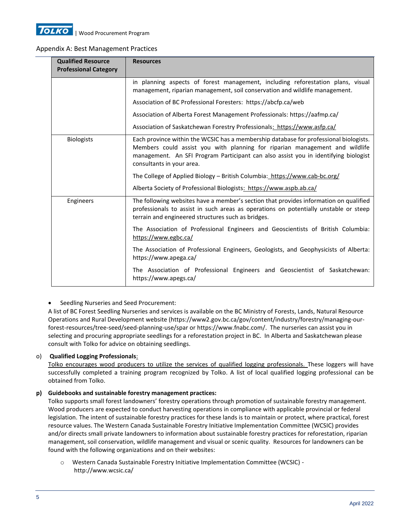

| <b>Qualified Resource</b><br><b>Professional Category</b> | <b>Resources</b>                                                                                                                                                                                                                                                                         |
|-----------------------------------------------------------|------------------------------------------------------------------------------------------------------------------------------------------------------------------------------------------------------------------------------------------------------------------------------------------|
|                                                           | in planning aspects of forest management, including reforestation plans, visual<br>management, riparian management, soil conservation and wildlife management.                                                                                                                           |
|                                                           | Association of BC Professional Foresters: https://abcfp.ca/web                                                                                                                                                                                                                           |
|                                                           | Association of Alberta Forest Management Professionals: https://aafmp.ca/                                                                                                                                                                                                                |
|                                                           | Association of Saskatchewan Forestry Professionals: https://www.asfp.ca/                                                                                                                                                                                                                 |
| <b>Biologists</b>                                         | Each province within the WCSIC has a membership database for professional biologists.<br>Members could assist you with planning for riparian management and wildlife<br>management. An SFI Program Participant can also assist you in identifying biologist<br>consultants in your area. |
|                                                           | The College of Applied Biology - British Columbia: https://www.cab-bc.org/                                                                                                                                                                                                               |
|                                                           | Alberta Society of Professional Biologists: https://www.aspb.ab.ca/                                                                                                                                                                                                                      |
| Engineers                                                 | The following websites have a member's section that provides information on qualified<br>professionals to assist in such areas as operations on potentially unstable or steep<br>terrain and engineered structures such as bridges.                                                      |
|                                                           | The Association of Professional Engineers and Geoscientists of British Columbia:<br>https://www.egbc.ca/                                                                                                                                                                                 |
|                                                           | The Association of Professional Engineers, Geologists, and Geophysicists of Alberta:<br>https://www.apega.ca/                                                                                                                                                                            |
|                                                           | The Association of Professional Engineers and Geoscientist of Saskatchewan:<br>https://www.apegs.ca/                                                                                                                                                                                     |

## • Seedling Nurseries and Seed Procurement:

A list of BC Forest Seedling Nurseries and services is available on the BC Ministry of Forests, Lands, Natural Resource Operations and Rural Development website (https://www2.gov.bc.ca/gov/content/industry/forestry/managing-ourforest-resources/tree-seed/seed-planning-use/spar or https://www.fnabc.com/. The nurseries can assist you in selecting and procuring appropriate seedlings for a reforestation project in BC. In Alberta and Saskatchewan please consult with Tolko for advice on obtaining seedlings.

## o) **Qualified Logging Professionals**:

Tolko encourages wood producers to utilize the services of qualified logging professionals. These loggers will have successfully completed a training program recognized by Tolko. A list of local qualified logging professional can be obtained from Tolko.

## **p) Guidebooks and sustainable forestry management practices:**

Tolko supports small forest landowners' forestry operations through promotion of sustainable forestry management. Wood producers are expected to conduct harvesting operations in compliance with applicable provincial or federal legislation. The intent of sustainable forestry practices for these lands is to maintain or protect, where practical, forest resource values. The Western Canada Sustainable Forestry Initiative Implementation Committee (WCSIC) provides and/or directs small private landowners to information about sustainable forestry practices for reforestation, riparian management, soil conservation, wildlife management and visual or scenic quality. Resources for landowners can be found with the following organizations and on their websites:

o Western Canada Sustainable Forestry Initiative Implementation Committee (WCSIC) http://www.wcsic.ca/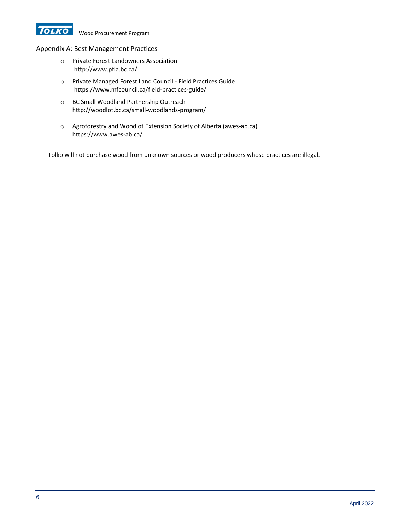

- o Private Forest Landowners Association [http://www.pfla.bc.ca/](http://www.pfla.bc.ca/wp-content/uploads/2012/09/BMP_Handbook.pdf)
- o Private Managed Forest Land Council Field Practices Guide https://www.mfcouncil.ca/field-practices-guide/
- o BC Small Woodland Partnership Outreach <http://woodlot.bc.ca/small-woodlands-program/>
- o Agroforestry and Woodlot Extension Society of Alberta (awes-ab.ca) https://www.awes-ab.ca/

Tolko will not purchase wood from unknown sources or wood producers whose practices are illegal.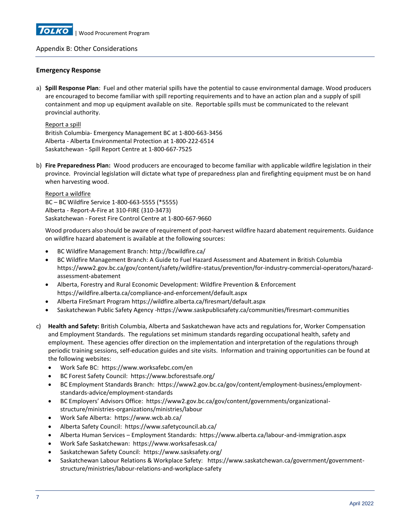

## Appendix B: Other Considerations

#### **Emergency Response**

a) **Spill Response Plan**: Fuel and other material spills have the potential to cause environmental damage. Wood producers are encouraged to become familiar with spill reporting requirements and to have an action plan and a supply of spill containment and mop up equipment available on site. Reportable spills must be communicated to the relevant provincial authority.

Report a spill British Columbia- Emergency Management BC at 1-800-663-3456 Alberta - Alberta Environmental Protection at 1-800-222-6514 Saskatchewan - Spill Report Centre at 1-800-667-7525

b) **Fire Preparedness Plan:** Wood producers are encouraged to become familiar with applicable wildfire legislation in their province. Provincial legislation will dictate what type of preparedness plan and firefighting equipment must be on hand when harvesting wood.

Report a wildfire BC – BC Wildfire Service 1-800-663-5555 (\*5555) Alberta - Report-A-Fire at 310-FIRE (310-3473) Saskatchewan - Forest Fire Control Centre at 1-800-667-9660

Wood producers also should be aware of requirement of post-harvest wildfire hazard abatement requirements. Guidance on wildfire hazard abatement is available at the following sources:

- BC Wildfire Management Branch[: http://bcwildfire.ca/](http://bcwildfire.ca/)
- BC Wildfire Management Branch[: A Guide to Fuel Hazard Assessment and Abatement in British Columbia](https://www2.gov.bc.ca/assets/gov/public-safety-and-emergency-services/wildfire-status/prevention/fire-fuel-management/hazard-assessment-abatement/bcws_hazard_assessment_abatement_guide.pdf) https://www2.gov.bc.ca/gov/content/safety/wildfire-status/prevention/for-industry-commercial-operators/hazardassessment-abatement
- Alberta, Forestry and Rural Economic Development: Wildfire Prevention & Enforcement <https://wildfire.alberta.ca/compliance-and-enforcement/default.aspx>
- Alberta FireSmart Program https://wildfire.alberta.ca/firesmart/default.aspx
- Saskatchewan Public Safety Agency -https://www.saskpublicsafety.ca/communities/firesmart-communities
- c) **Health and Safety:** British Columbia, Alberta and Saskatchewan have acts and regulations for, Worker Compensation and Employment Standards. The regulations set minimum standards regarding occupational health, safety and employment. These agencies offer direction on the implementation and interpretation of the regulations through periodic training sessions, self-education guides and site visits. Information and training opportunities can be found at the following websites:
	- Work Safe BC: https://www.worksafebc.com/en
	- BC Forest Safety Council: https://www.bcforestsafe.org/
	- BC Employment Standards Branch: https://www2.gov.bc.ca/gov/content/employment-business/employmentstandards-advice/employment-standards
	- BC Employers' Advisors Office: https://www2.gov.bc.ca/gov/content/governments/organizationalstructure/ministries-organizations/ministries/labour
	- Work Safe Alberta: https://www.wcb.ab.ca/
	- Alberta Safety Council: https://www.safetycouncil.ab.ca/
	- Alberta Human Services Employment Standards: https://www.alberta.ca/labour-and-immigration.aspx
	- Work Safe Saskatchewan: https://www.worksafesask.ca/
	- Saskatchewan Safety Council: https://www.sasksafety.org/
	- Saskatchewan Labour Relations & Workplace Safety: https://www.saskatchewan.ca/government/governmentstructure/ministries/labour-relations-and-workplace-safety